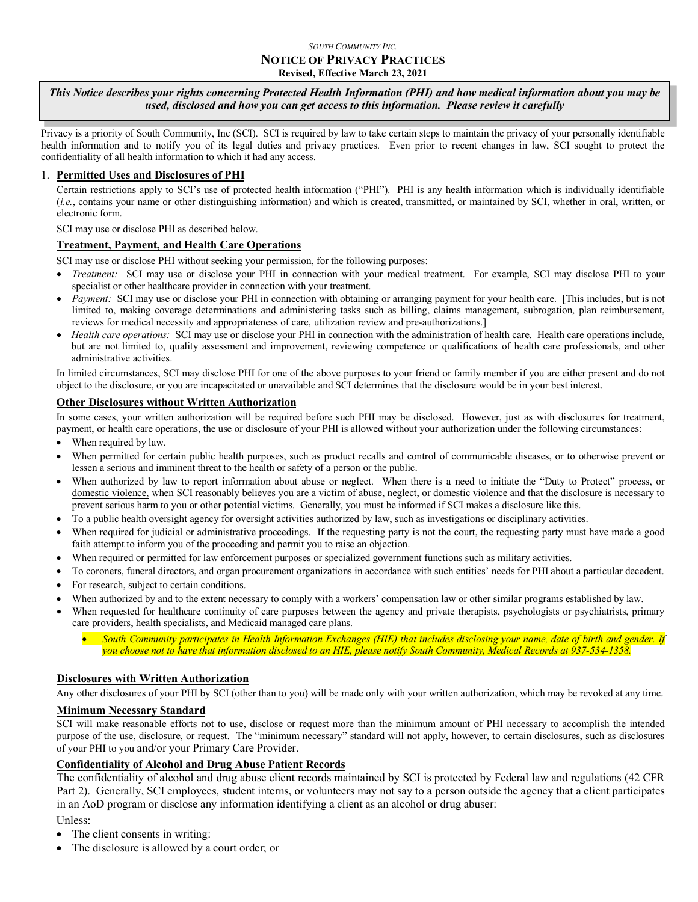#### *SOUTH COMMUNITY INC.* **NOTICE OF PRIVACY PRACTICES Revised, Effective March 23, 2021**

#### *This Notice describes your rights concerning Protected Health Information (PHI) and how medical information about you may be used, disclosed and how you can get access to this information. Please review it carefully*

Privacy is a priority of South Community, Inc (SCI). SCI is required by law to take certain steps to maintain the privacy of your personally identifiable health information and to notify you of its legal duties and privacy practices. Even prior to recent changes in law, SCI sought to protect the confidentiality of all health information to which it had any access.

### 1. **Permitted Uses and Disclosures of PHI**

Certain restrictions apply to SCI's use of protected health information ("PHI"). PHI is any health information which is individually identifiable (*i.e.*, contains your name or other distinguishing information) and which is created, transmitted, or maintained by SCI, whether in oral, written, or electronic form.

SCI may use or disclose PHI as described below.

### **Treatment, Payment, and Health Care Operations**

SCI may use or disclose PHI without seeking your permission, for the following purposes:

- *Treatment:* SCI may use or disclose your PHI in connection with your medical treatment. For example, SCI may disclose PHI to your specialist or other healthcare provider in connection with your treatment.
- *Payment:* SCI may use or disclose your PHI in connection with obtaining or arranging payment for your health care. [This includes, but is not limited to, making coverage determinations and administering tasks such as billing, claims management, subrogation, plan reimbursement, reviews for medical necessity and appropriateness of care, utilization review and pre-authorizations.]
- *Health care operations:* SCI may use or disclose your PHI in connection with the administration of health care. Health care operations include, but are not limited to, quality assessment and improvement, reviewing competence or qualifications of health care professionals, and other administrative activities.

In limited circumstances, SCI may disclose PHI for one of the above purposes to your friend or family member if you are either present and do not object to the disclosure, or you are incapacitated or unavailable and SCI determines that the disclosure would be in your best interest.

### **Other Disclosures without Written Authorization**

In some cases, your written authorization will be required before such PHI may be disclosed. However, just as with disclosures for treatment, payment, or health care operations, the use or disclosure of your PHI is allowed without your authorization under the following circumstances:

- When required by law.
- When permitted for certain public health purposes, such as product recalls and control of communicable diseases, or to otherwise prevent or lessen a serious and imminent threat to the health or safety of a person or the public.
- When authorized by law to report information about abuse or neglect. When there is a need to initiate the "Duty to Protect" process, or domestic violence, when SCI reasonably believes you are a victim of abuse, neglect, or domestic violence and that the disclosure is necessary to prevent serious harm to you or other potential victims. Generally, you must be informed if SCI makes a disclosure like this.
- To a public health oversight agency for oversight activities authorized by law, such as investigations or disciplinary activities.
- When required for judicial or administrative proceedings. If the requesting party is not the court, the requesting party must have made a good faith attempt to inform you of the proceeding and permit you to raise an objection.
- When required or permitted for law enforcement purposes or specialized government functions such as military activities.
- To coroners, funeral directors, and organ procurement organizations in accordance with such entities' needs for PHI about a particular decedent.
- For research, subject to certain conditions.
- When authorized by and to the extent necessary to comply with a workers' compensation law or other similar programs established by law.
- When requested for healthcare continuity of care purposes between the agency and private therapists, psychologists or psychiatrists, primary care providers, health specialists, and Medicaid managed care plans.

• *South Community participates in Health Information Exchanges (HIE) that includes disclosing your name, date of birth and gender. If you choose not to have that information disclosed to an HIE, please notify South Community, Medical Records at 937-534-1358.*

### **Disclosures with Written Authorization**

Any other disclosures of your PHI by SCI (other than to you) will be made only with your written authorization, which may be revoked at any time.

### **Minimum Necessary Standard**

SCI will make reasonable efforts not to use, disclose or request more than the minimum amount of PHI necessary to accomplish the intended purpose of the use, disclosure, or request. The "minimum necessary" standard will not apply, however, to certain disclosures, such as disclosures of your PHI to you and/or your Primary Care Provider.

### **Confidentiality of Alcohol and Drug Abuse Patient Records**

The confidentiality of alcohol and drug abuse client records maintained by SCI is protected by Federal law and regulations (42 CFR Part 2). Generally, SCI employees, student interns, or volunteers may not say to a person outside the agency that a client participates in an AoD program or disclose any information identifying a client as an alcohol or drug abuser:

Unless:

- The client consents in writing:
- The disclosure is allowed by a court order; or